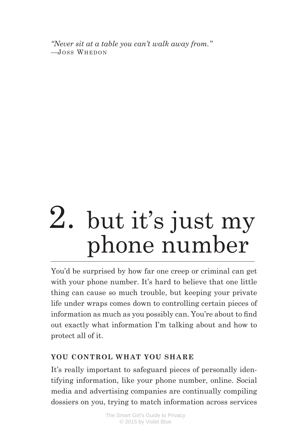*"Never sit at a table you can't walk away from." —*Joss Whedon

# but it's just my 2. phone number

You'd be surprised by how far one creep or criminal can get with your phone number. It's hard to believe that one little thing can cause so much trouble, but keeping your private life under wraps comes down to controlling certain pieces of information as much as you possibly can. You're about to find out exactly what information I'm talking about and how to protect all of it.

# **You Control What You Share**

It's really important to safeguard pieces of personally identifying information, like your phone number, online. Social media and advertising companies are continually compiling dossiers on you, trying to match information across services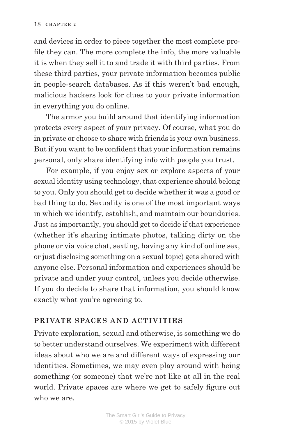and devices in order to piece together the most complete profile they can. The more complete the info, the more valuable it is when they sell it to and trade it with third parties. From these third parties, your private information becomes public in people-search databases. As if this weren't bad enough, malicious hackers look for clues to your private information in everything you do online.

The armor you build around that identifying information protects every aspect of your privacy. Of course, what you do in private or choose to share with friends is your own business. But if you want to be confident that your information remains personal, only share identifying info with people you trust.

For example, if you enjoy sex or explore aspects of your sexual identity using technology, that experience should belong to you. Only you should get to decide whether it was a good or bad thing to do. Sexuality is one of the most important ways in which we identify, establish, and maintain our boundaries. Just as importantly, you should get to decide if that experience (whether it's sharing intimate photos, talking dirty on the phone or via voice chat, sexting, having any kind of online sex, or just disclosing something on a sexual topic) gets shared with anyone else. Personal information and experiences should be private and under your control, unless you decide otherwise. If you do decide to share that information, you should know exactly what you're agreeing to.

## **Private Spaces and Activities**

Private exploration, sexual and otherwise, is something we do to better understand ourselves. We experiment with different ideas about who we are and different ways of expressing our identities. Sometimes, we may even play around with being something (or someone) that we're not like at all in the real world. Private spaces are where we get to safely figure out who we are.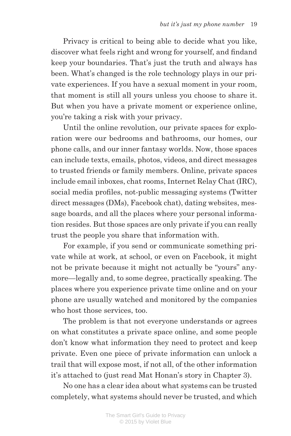Privacy is critical to being able to decide what you like, discover what feels right and wrong for yourself, and findand keep your boundaries. That's just the truth and always has been. What's changed is the role technology plays in our private experiences. If you have a sexual moment in your room, that moment is still all yours unless you choose to share it. But when you have a private moment or experience online, you're taking a risk with your privacy.

Until the online revolution, our private spaces for exploration were our bedrooms and bathrooms, our homes, our phone calls, and our inner fantasy worlds. Now, those spaces can include texts, emails, photos, videos, and direct messages to trusted friends or family members. Online, private spaces include email inboxes, chat rooms, Internet Relay Chat (IRC), social media profiles, not-public messaging systems (Twitter direct messages (DMs), Facebook chat), dating websites, message boards, and all the places where your personal information resides. But those spaces are only private if you can really trust the people you share that information with.

For example, if you send or communicate something private while at work, at school, or even on Facebook, it might not be private because it might not actually be "yours" anymore—legally and, to some degree, practically speaking. The places where you experience private time online and on your phone are usually watched and monitored by the companies who host those services, too.

The problem is that not everyone understands or agrees on what constitutes a private space online, and some people don't know what information they need to protect and keep private. Even one piece of private information can unlock a trail that will expose most, if not all, of the other information it's attached to (just read Mat Honan's story in Chapter 3).

No one has a clear idea about what systems can be trusted completely, what systems should never be trusted, and which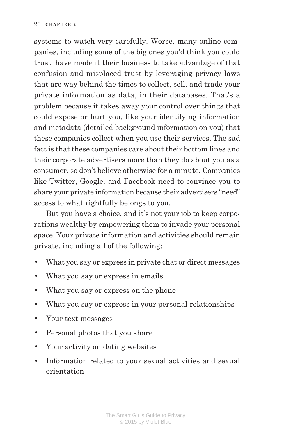systems to watch very carefully. Worse, many online companies, including some of the big ones you'd think you could trust, have made it their business to take advantage of that confusion and misplaced trust by leveraging privacy laws that are way behind the times to collect, sell, and trade your private information as data, in their databases. That's a problem because it takes away your control over things that could expose or hurt you, like your identifying information and metadata (detailed background information on you) that these companies collect when you use their services. The sad fact is that these companies care about their bottom lines and their corporate advertisers more than they do about you as a consumer, so don't believe otherwise for a minute. Companies like Twitter, Google, and Facebook need to convince you to share your private information because their advertisers "need" access to what rightfully belongs to you.

But you have a choice, and it's not your job to keep corporations wealthy by empowering them to invade your personal space. Your private information and activities should remain private, including all of the following:

- What you say or express in private chat or direct messages
- What you say or express in emails
- What you say or express on the phone
- What you say or express in your personal relationships
- • Your text messages
- Personal photos that you share
- Your activity on dating websites
- Information related to your sexual activities and sexual orientation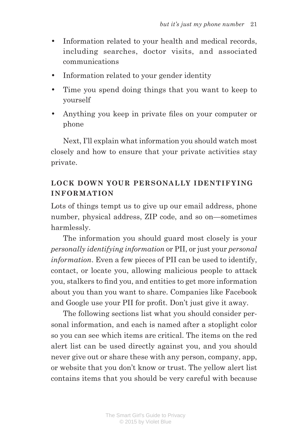- Information related to your health and medical records, including searches, doctor visits, and associated communications
- Information related to your gender identity
- Time you spend doing things that you want to keep to yourself
- Anything you keep in private files on your computer or phone

Next, I'll explain what information you should watch most closely and how to ensure that your private activities stay private.

# **Lock Down Your Personally Identifying Information**

Lots of things tempt us to give up our email address, phone number, physical address, ZIP code, and so on—sometimes harmlessly.

The information you should guard most closely is your *personally identifying information* or PII, or just your *personal information*. Even a few pieces of PII can be used to identify, contact, or locate you, allowing malicious people to attack you, stalkers to find you, and entities to get more information about you than you want to share. Companies like Facebook and Google use your PII for profit. Don't just give it away.

The following sections list what you should consider personal information, and each is named after a stoplight color so you can see which items are critical. The items on the red alert list can be used directly against you, and you should never give out or share these with any person, company, app, or website that you don't know or trust. The yellow alert list contains items that you should be very careful with because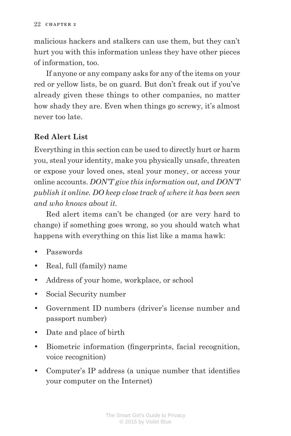malicious hackers and stalkers can use them, but they can't hurt you with this information unless they have other pieces of information, too.

If anyone or any company asks for any of the items on your red or yellow lists, be on guard. But don't freak out if you've already given these things to other companies, no matter how shady they are. Even when things go screwy, it's almost never too late.

## **Red Alert List**

Everything in this section can be used to directly hurt or harm you, steal your identity, make you physically unsafe, threaten or expose your loved ones, steal your money, or access your online accounts. *DON'T give this information out, and DON'T publish it online. DO keep close track of where it has been seen and who knows about it.* 

Red alert items can't be changed (or are very hard to change) if something goes wrong, so you should watch what happens with everything on this list like a mama hawk:

- Passwords
- Real, full (family) name
- Address of your home, workplace, or school
- Social Security number
- • Government ID numbers (driver's license number and passport number)
- Date and place of birth
- • Biometric information (fingerprints, facial recognition, voice recognition)
- Computer's IP address (a unique number that identifies your computer on the Internet)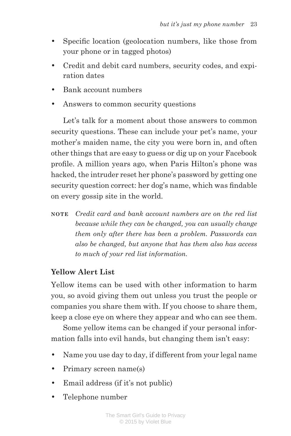- Specific location (geolocation numbers, like those from your phone or in tagged photos)
- Credit and debit card numbers, security codes, and expiration dates
- Bank account numbers
- Answers to common security questions

Let's talk for a moment about those answers to common security questions. These can include your pet's name, your mother's maiden name, the city you were born in, and often other things that are easy to guess or dig up on your Facebook profile. A million years ago, when Paris Hilton's phone was hacked, the intruder reset her phone's password by getting one security question correct: her dog's name, which was findable on every gossip site in the world.

**Note** *Credit card and bank account numbers are on the red list because while they can be changed, you can usually change them only after there has been a problem. Passwords can also be changed, but anyone that has them also has access to much of your red list information.*

# **Yellow Alert List**

Yellow items can be used with other information to harm you, so avoid giving them out unless you trust the people or companies you share them with. If you choose to share them, keep a close eye on where they appear and who can see them.

Some yellow items can be changed if your personal information falls into evil hands, but changing them isn't easy:

- Name you use day to day, if different from your legal name
- Primary screen name(s)
- Email address (if it's not public)
- Telephone number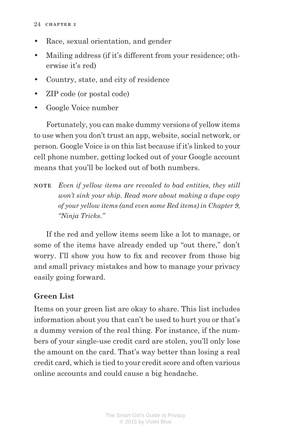- Race, sexual orientation, and gender
- Mailing address (if it's different from your residence; otherwise it's red)
- • Country, state, and city of residence
- **ZIP** code (or postal code)
- • Google Voice number

Fortunately, you can make dummy versions of yellow items to use when you don't trust an app, website, social network, or person. Google Voice is on this list because if it's linked to your cell phone number, getting locked out of your Google account means that you'll be locked out of both numbers.

**Note** *Even if yellow items are revealed to bad entities, they still won't sink your ship. Read more about making a dupe copy of your yellow items (and even some Red items) in Chapter 9, "Ninja Tricks."*

If the red and yellow items seem like a lot to manage, or some of the items have already ended up "out there," don't worry. I'll show you how to fix and recover from those big and small privacy mistakes and how to manage your privacy easily going forward.

## **Green List**

Items on your green list are okay to share. This list includes information about you that can't be used to hurt you or that's a dummy version of the real thing. For instance, if the numbers of your single-use credit card are stolen, you'll only lose the amount on the card. That's way better than losing a real credit card, which is tied to your credit score and often various online accounts and could cause a big headache.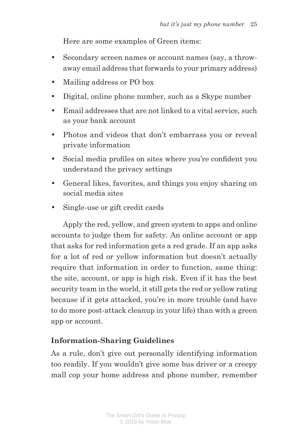Here are some examples of Green items:

- Secondary screen names or account names (say, a throwaway email address that forwards to your primary address)
- Mailing address or PO box
- Digital, online phone number, such as a Skype number
- • Email addresses that are not linked to a vital service, such as your bank account
- Photos and videos that don't embarrass you or reveal private information
- Social media profiles on sites where you're confident you understand the privacy settings
- General likes, favorites, and things you enjoy sharing on social media sites
- Single-use or gift credit cards

Apply the red, yellow, and green system to apps and online accounts to judge them for safety. An online account or app that asks for red information gets a red grade. If an app asks for a lot of red or yellow information but doesn't actually require that information in order to function, same thing: the site, account, or app is high risk. Even if it has the best security team in the world, it still gets the red or yellow rating because if it gets attacked, you're in more trouble (and have to do more post-attack cleanup in your life) than with a green app or account.

## **Information-Sharing Guidelines**

As a rule, don't give out personally identifying information too readily. If you wouldn't give some bus driver or a creepy mall cop your home address and phone number, remember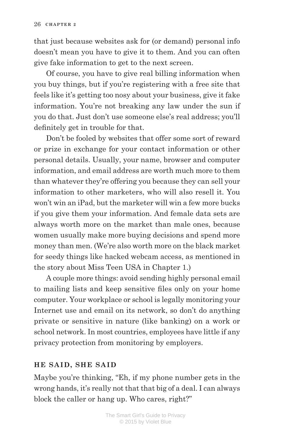that just because websites ask for (or demand) personal info doesn't mean you have to give it to them. And you can often give fake information to get to the next screen.

Of course, you have to give real billing information when you buy things, but if you're registering with a free site that feels like it's getting too nosy about your business, give it fake information. You're not breaking any law under the sun if you do that. Just don't use someone else's real address; you'll definitely get in trouble for that.

Don't be fooled by websites that offer some sort of reward or prize in exchange for your contact information or other personal details. Usually, your name, browser and computer information, and email address are worth much more to them than whatever they're offering you because they can sell your information to other marketers, who will also resell it. You won't win an iPad, but the marketer will win a few more bucks if you give them your information. And female data sets are always worth more on the market than male ones, because women usually make more buying decisions and spend more money than men. (We're also worth more on the black market for seedy things like hacked webcam access, as mentioned in the story about Miss Teen USA in Chapter 1.)

A couple more things: avoid sending highly personal email to mailing lists and keep sensitive files only on your home computer. Your workplace or school is legally monitoring your Internet use and email on its network, so don't do anything private or sensitive in nature (like banking) on a work or school network. In most countries, employees have little if any privacy protection from monitoring by employers.

## **He Said, She Said**

Maybe you're thinking, "Eh, if my phone number gets in the wrong hands, it's really not that that big of a deal. I can always block the caller or hang up. Who cares, right?"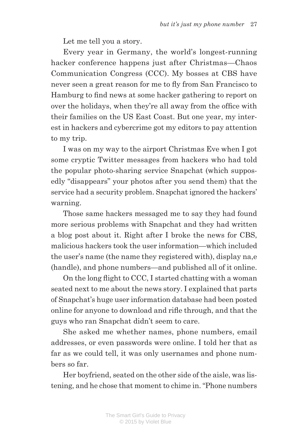Let me tell you a story.

Every year in Germany, the world's longest-running hacker conference happens just after Christmas—Chaos Communication Congress (CCC). My bosses at CBS have never seen a great reason for me to fly from San Francisco to Hamburg to find news at some hacker gathering to report on over the holidays, when they're all away from the office with their families on the US East Coast. But one year, my interest in hackers and cybercrime got my editors to pay attention to my trip.

I was on my way to the airport Christmas Eve when I got some cryptic Twitter messages from hackers who had told the popular photo-sharing service Snapchat (which supposedly "disappears" your photos after you send them) that the service had a security problem. Snapchat ignored the hackers' warning.

Those same hackers messaged me to say they had found more serious problems with Snapchat and they had written a blog post about it. Right after I broke the news for CBS, malicious hackers took the user information—which included the user's name (the name they registered with), display na,e (handle), and phone numbers—and published all of it online.

On the long flight to CCC, I started chatting with a woman seated next to me about the news story. I explained that parts of Snapchat's huge user information database had been posted online for anyone to download and rifle through, and that the guys who ran Snapchat didn't seem to care.

She asked me whether names, phone numbers, email addresses, or even passwords were online. I told her that as far as we could tell, it was only usernames and phone numbers so far.

Her boyfriend, seated on the other side of the aisle, was listening, and he chose that moment to chime in. "Phone numbers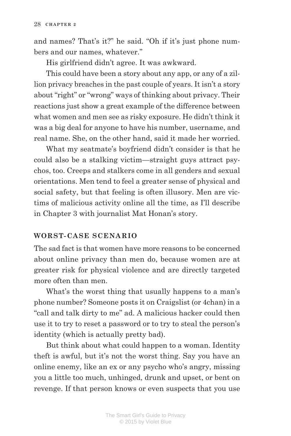and names? That's it?" he said. "Oh if it's just phone numbers and our names, whatever."

His girlfriend didn't agree. It was awkward.

This could have been a story about any app, or any of a zillion privacy breaches in the past couple of years. It isn't a story about "right" or "wrong" ways of thinking about privacy. Their reactions just show a great example of the difference between what women and men see as risky exposure. He didn't think it was a big deal for anyone to have his number, username, and real name. She, on the other hand, said it made her worried.

What my seatmate's boyfriend didn't consider is that he could also be a stalking victim—straight guys attract psychos, too. Creeps and stalkers come in all genders and sexual orientations. Men tend to feel a greater sense of physical and social safety, but that feeling is often illusory. Men are victims of malicious activity online all the time, as I'll describe in Chapter 3 with journalist Mat Honan's story.

#### **Worst-Case Scenario**

The sad fact is that women have more reasons to be concerned about online privacy than men do, because women are at greater risk for physical violence and are directly targeted more often than men.

What's the worst thing that usually happens to a man's phone number? Someone posts it on Craigslist (or 4chan) in a "call and talk dirty to me" ad. A malicious hacker could then use it to try to reset a password or to try to steal the person's identity (which is actually pretty bad).

But think about what could happen to a woman. Identity theft is awful, but it's not the worst thing. Say you have an online enemy, like an ex or any psycho who's angry, missing you a little too much, unhinged, drunk and upset, or bent on revenge. If that person knows or even suspects that you use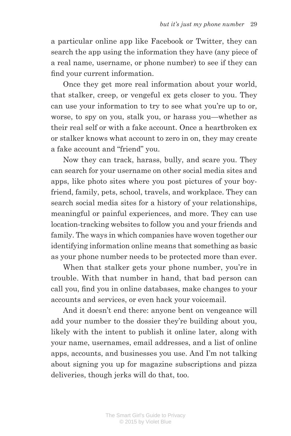a particular online app like Facebook or Twitter, they can search the app using the information they have (any piece of a real name, username, or phone number) to see if they can find your current information.

Once they get more real information about your world, that stalker, creep, or vengeful ex gets closer to you. They can use your information to try to see what you're up to or, worse, to spy on you, stalk you, or harass you—whether as their real self or with a fake account. Once a heartbroken ex or stalker knows what account to zero in on, they may create a fake account and "friend" you.

Now they can track, harass, bully, and scare you. They can search for your username on other social media sites and apps, like photo sites where you post pictures of your boyfriend, family, pets, school, travels, and workplace. They can search social media sites for a history of your relationships, meaningful or painful experiences, and more. They can use location-tracking websites to follow you and your friends and family. The ways in which companies have woven together our identifying information online means that something as basic as your phone number needs to be protected more than ever.

When that stalker gets your phone number, you're in trouble. With that number in hand, that bad person can call you, find you in online databases, make changes to your accounts and services, or even hack your voicemail.

And it doesn't end there: anyone bent on vengeance will add your number to the dossier they're building about you, likely with the intent to publish it online later, along with your name, usernames, email addresses, and a list of online apps, accounts, and businesses you use. And I'm not talking about signing you up for magazine subscriptions and pizza deliveries, though jerks will do that, too.